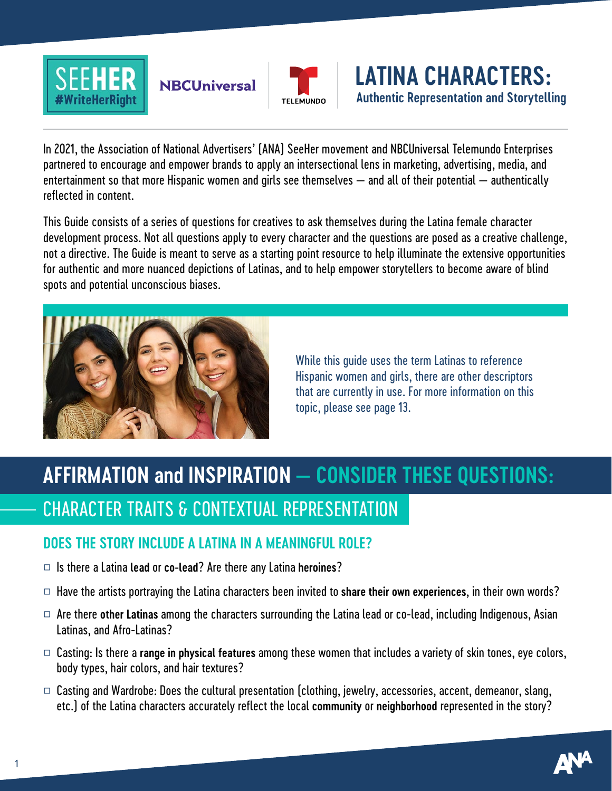

## **NBCUniversal**



**LATINA CHARACTERS: Authentic Representation and Storytelling** 

In 2021, the Association of National Advertisers' (ANA) SeeHer movement and NBCUniversal Telemundo Enterprises partnered to encourage and empower brands to apply an intersectional lens in marketing, advertising, media, and entertainment so that more Hispanic women and girls see themselves — and all of their potential — authentically reflected in content.

This Guide consists of a series of questions for creatives to ask themselves during the Latina female character development process. Not all questions apply to every character and the questions are posed as a creative challenge, not a directive. The Guide is meant to serve as a starting point resource to help illuminate the extensive opportunities for authentic and more nuanced depictions of Latinas, and to help empower storytellers to become aware of blind spots and potential unconscious biases.



While this guide uses the term Latinas to reference Hispanic women and girls, there are other descriptors that are currently in use. For more information on this topic, please see page 13.

# **AFFIRMATION and INSPIRATION — CONSIDER THESE QUESTIONS:** CHARACTER TRAITS & CONTEXTUAL REPRESENTATION

#### **DOES THE STORY INCLUDE A LATINA IN A MEANINGFUL ROLE?**

- □ Is there a Latina **lead** or **co-lead**? Are there any Latina **heroines**?
- □ Have the artists portraying the Latina characters been invited to **share their own experiences**, in their own words?
- □ Are there **other Latinas** among the characters surrounding the Latina lead or co-lead, including Indigenous, Asian Latinas, and Afro-Latinas?
- □ Casting: Is there a **range in physical features** among these women that includes a variety of skin tones, eye colors, body types, hair colors, and hair textures?
- $\Box$  Casting and Wardrobe: Does the cultural presentation (clothing, jewelry, accessories, accent, demeanor, slang, etc.) of the Latina characters accurately reflect the local **community** or **neighborhood** represented in the story?

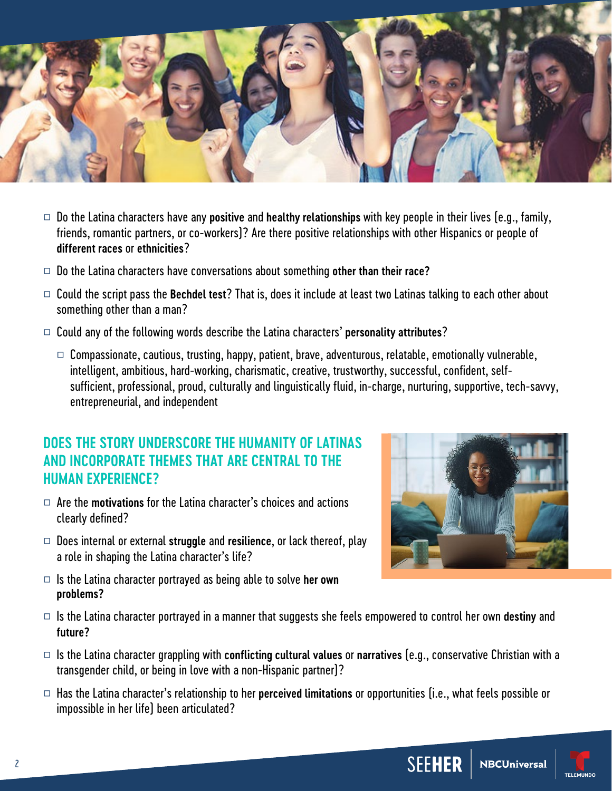

- □ Do the Latina characters have any **positive** and **healthy relationships** with key people in their lives (e.g., family, friends, romantic partners, or co-workers)? Are there positive relationships with other Hispanics or people of **different races** or **ethnicities**?
- □ Do the Latina characters have conversations about something **other than their race?**
- □ Could the script pass the **Bechdel test**? That is, does it include at least two Latinas talking to each other about something other than a man?
- □ Could any of the following words describe the Latina characters' **personality attributes**?
	- $\Box$  Compassionate, cautious, trusting, happy, patient, brave, adventurous, relatable, emotionally vulnerable, intelligent, ambitious, hard-working, charismatic, creative, trustworthy, successful, confident, selfsufficient, professional, proud, culturally and linguistically fluid, in-charge, nurturing, supportive, tech-savvy, entrepreneurial, and independent

#### **DOES THE STORY UNDERSCORE THE HUMANITY OF LATINAS AND INCORPORATE THEMES THAT ARE CENTRAL TO THE HUMAN EXPERIENCE?**

- □ Are the **motivations** for the Latina character's choices and actions clearly defined?
- □ Does internal or external **struggle** and **resilience**, or lack thereof, play a role in shaping the Latina character's life?
- □ Is the Latina character portrayed as being able to solve **her own problems?**



- □ Is the Latina character portrayed in a manner that suggests she feels empowered to control her own **destiny** and **future?**
- □ Is the Latina character grappling with **conflicting cultural values** or **narratives** (e.g., conservative Christian with a transgender child, or being in love with a non-Hispanic partner)?
- □ Has the Latina character's relationship to her **perceived limitations** or opportunities (i.e., what feels possible or impossible in her life) been articulated?

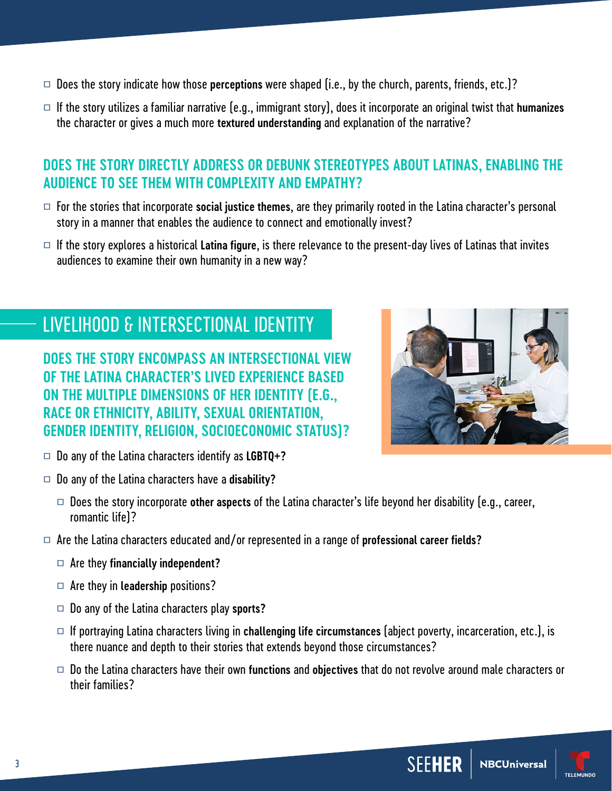- □ Does the story indicate how those **perceptions** were shaped (i.e., by the church, parents, friends, etc.)?
- □ If the story utilizes a familiar narrative (e.g., immigrant story), does it incorporate an original twist that **humanizes** the character or gives a much more **textured understanding** and explanation of the narrative?

#### **DOES THE STORY DIRECTLY ADDRESS OR DEBUNK STEREOTYPES ABOUT LATINAS, ENABLING THE AUDIENCE TO SEE THEM WITH COMPLEXITY AND EMPATHY?**

- □ For the stories that incorporate **social justice themes**, are they primarily rooted in the Latina character's personal story in a manner that enables the audience to connect and emotionally invest?
- □ If the story explores a historical **Latina figure**, is there relevance to the present-day lives of Latinas that invites audiences to examine their own humanity in a new way?

## LIVELIHOOD & INTERSECTIONAL IDENTITY

**DOES THE STORY ENCOMPASS AN INTERSECTIONAL VIEW OF THE LATINA CHARACTER'S LIVED EXPERIENCE BASED ON THE MULTIPLE DIMENSIONS OF HER IDENTITY (E.G., RACE OR ETHNICITY, ABILITY, SEXUAL ORIENTATION, GENDER IDENTITY, RELIGION, SOCIOECONOMIC STATUS)?**



- □ Do any of the Latina characters identify as **LGBTQ+?**
- □ Do any of the Latina characters have a **disability?**
	- □ Does the story incorporate **other aspects** of the Latina character's life beyond her disability (e.g., career, romantic life)?
- □ Are the Latina characters educated and/or represented in a range of **professional career fields?**
	- □ Are they **financially independent?**
	- □ Are they in **leadership** positions?
	- □ Do any of the Latina characters play **sports?**
	- □ If portraying Latina characters living in **challenging life circumstances** (abject poverty, incarceration, etc.), is there nuance and depth to their stories that extends beyond those circumstances?
	- □ Do the Latina characters have their own **functions** and **objectives** that do not revolve around male characters or their families?

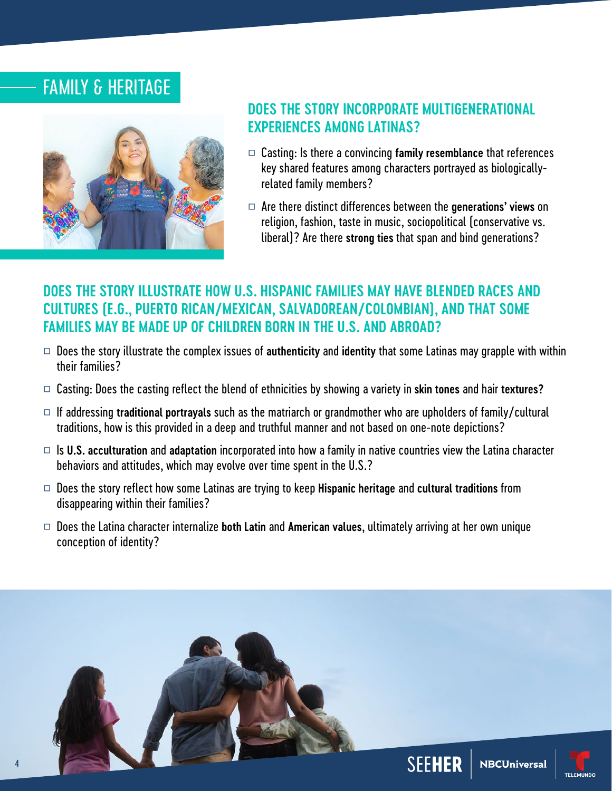## FAMILY & HERITAGE



#### **DOES THE STORY INCORPORATE MULTIGENERATIONAL EXPERIENCES AMONG LATINAS?**

- □ Casting: Is there a convincing **family resemblance** that references key shared features among characters portrayed as biologicallyrelated family members?
- □ Are there distinct differences between the **generations' views** on religion, fashion, taste in music, sociopolitical (conservative vs. liberal)? Are there **strong ties** that span and bind generations?

#### **DOES THE STORY ILLUSTRATE HOW U.S. HISPANIC FAMILIES MAY HAVE BLENDED RACES AND CULTURES (E.G., PUERTO RICAN/MEXICAN, SALVADOREAN/COLOMBIAN), AND THAT SOME FAMILIES MAY BE MADE UP OF CHILDREN BORN IN THE U.S. AND ABROAD?**

- □ Does the story illustrate the complex issues of **authenticity** and **identity** that some Latinas may grapple with within their families?
- □ Casting: Does the casting reflect the blend of ethnicities by showing a variety in **skin tones** and hair **textures?**
- □ If addressing **traditional portrayals** such as the matriarch or grandmother who are upholders of family/cultural traditions, how is this provided in a deep and truthful manner and not based on one-note depictions?
- □ Is **U.S. acculturation** and **adaptation** incorporated into how a family in native countries view the Latina character behaviors and attitudes, which may evolve over time spent in the U.S.?
- □ Does the story reflect how some Latinas are trying to keep **Hispanic heritage** and **cultural traditions** from disappearing within their families?
- □ Does the Latina character internalize **both Latin** and **American values**, ultimately arriving at her own unique conception of identity?

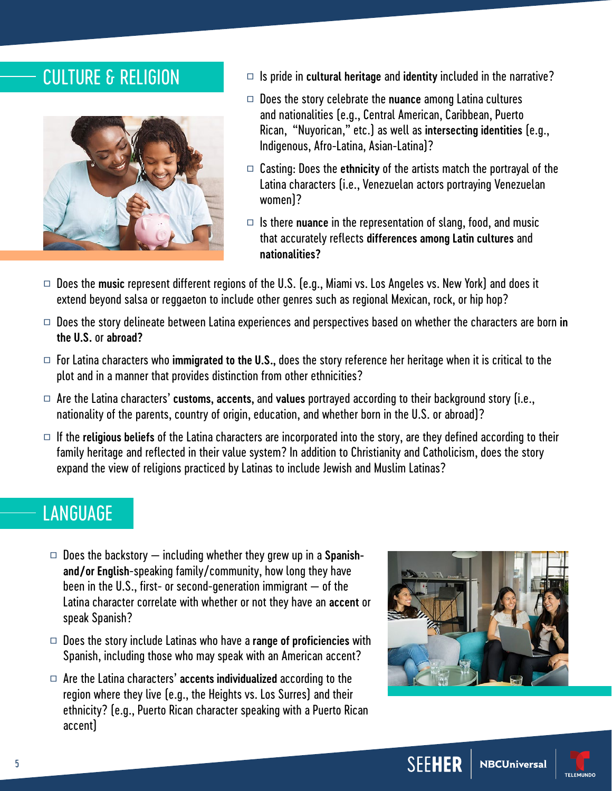

- CULTURE & RELIGION □ Is pride in cultural heritage and identity included in the narrative?
	- □ Does the story celebrate the **nuance** among Latina cultures and nationalities (e.g., Central American, Caribbean, Puerto Rican, "Nuyorican," etc.) as well as **intersecting identities** (e.g., Indigenous, Afro-Latina, Asian-Latina)?
	- □ Casting: Does the **ethnicity** of the artists match the portrayal of the Latina characters (i.e., Venezuelan actors portraying Venezuelan women)?
	- □ Is there **nuance** in the representation of slang, food, and music that accurately reflects **differences among Latin cultures** and **nationalities?**
- □ Does the **music** represent different regions of the U.S. (e.g., Miami vs. Los Angeles vs. New York) and does it extend beyond salsa or reggaeton to include other genres such as regional Mexican, rock, or hip hop?
- □ Does the story delineate between Latina experiences and perspectives based on whether the characters are born **in the U.S.** or **abroad?**
- □ For Latina characters who **immigrated to the U.S.,** does the story reference her heritage when it is critical to the plot and in a manner that provides distinction from other ethnicities?
- □ Are the Latina characters' **customs, accents,** and **values** portrayed according to their background story (i.e., nationality of the parents, country of origin, education, and whether born in the U.S. or abroad)?
- □ If the **religious beliefs** of the Latina characters are incorporated into the story, are they defined according to their family heritage and reflected in their value system? In addition to Christianity and Catholicism, does the story expand the view of religions practiced by Latinas to include Jewish and Muslim Latinas?

## LANGUAGE

- □ Does the backstory including whether they grew up in a **Spanishand/or English**-speaking family/community, how long they have been in the U.S., first- or second-generation immigrant — of the Latina character correlate with whether or not they have an **accent** or speak Spanish?
- □ Does the story include Latinas who have a **range of proficiencies** with Spanish, including those who may speak with an American accent?
- □ Are the Latina characters' **accents individualized** according to the region where they live (e.g., the Heights vs. Los Surres) and their ethnicity? (e.g., Puerto Rican character speaking with a Puerto Rican accent)



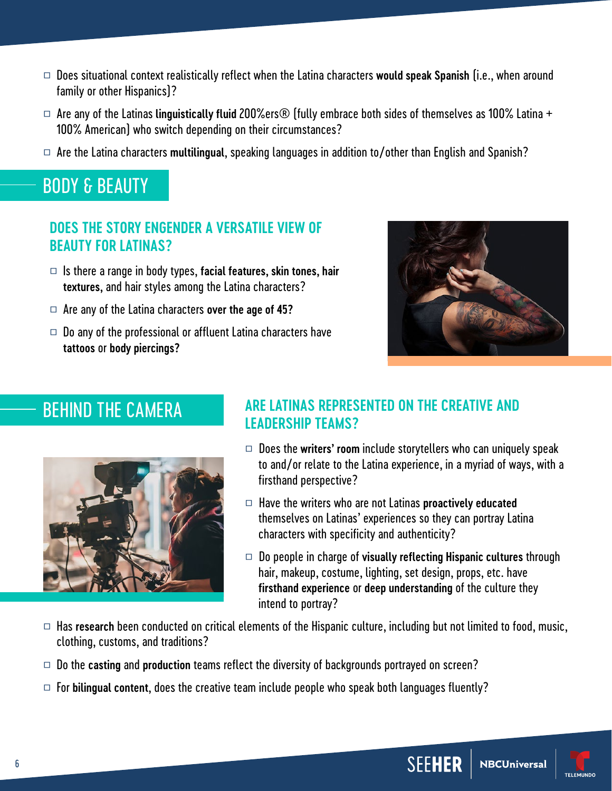- □ Does situational context realistically reflect when the Latina characters **would speak Spanish** (i.e., when around family or other Hispanics)?
- □ Are any of the Latinas **linguistically fluid** 200%ers® (fully embrace both sides of themselves as 100% Latina + 100% American) who switch depending on their circumstances?
- □ Are the Latina characters **multilingual**, speaking languages in addition to/other than English and Spanish?

## BODY & BEAUTY

#### **DOES THE STORY ENGENDER A VERSATILE VIEW OF BEAUTY FOR LATINAS?**

- □ Is there a range in body types, **facial features, skin tones, hair textures,** and hair styles among the Latina characters?
- □ Are any of the Latina characters **over the age of 45?**
- $\Box$  Do any of the professional or affluent Latina characters have **tattoos** or **body piercings?**



## BEHIND THE CAMERA



#### **ARE LATINAS REPRESENTED ON THE CREATIVE AND LEADERSHIP TEAMS?**

- □ Does the **writers' room** include storytellers who can uniquely speak to and/or relate to the Latina experience, in a myriad of ways, with a firsthand perspective?
- □ Have the writers who are not Latinas **proactively educated** themselves on Latinas' experiences so they can portray Latina characters with specificity and authenticity?
- □ Do people in charge of **visually reflecting Hispanic cultures** through hair, makeup, costume, lighting, set design, props, etc. have **firsthand experience** or **deep understanding** of the culture they intend to portray?
- □ Has research been conducted on critical elements of the Hispanic culture, including but not limited to food, music, clothing, customs, and traditions?
- □ Do the **casting** and **production** teams reflect the diversity of backgrounds portrayed on screen?
- $\Box$  For **bilingual content**, does the creative team include people who speak both languages fluently?

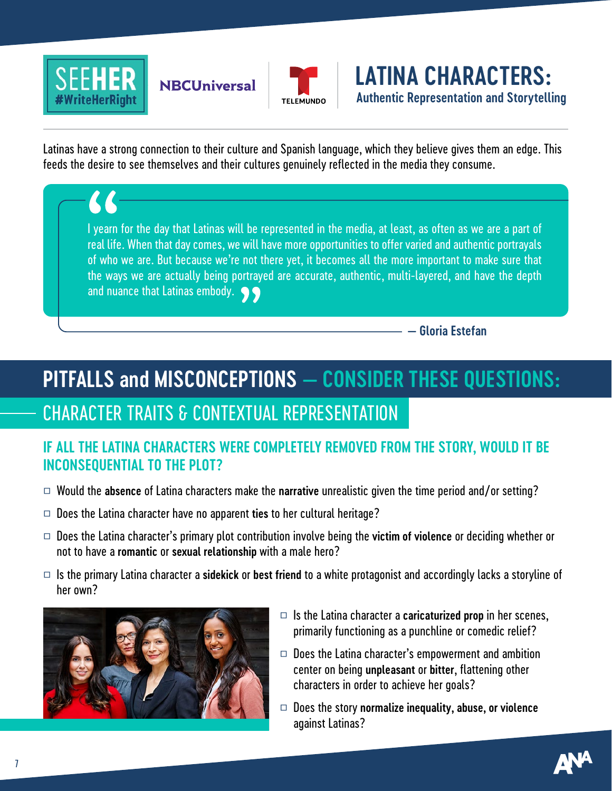

# **NBCUniversal**



**LATINA CHARACTERS: Authentic Representation and Storytelling** 

Latinas have a strong connection to their culture and Spanish language, which they believe gives them an edge. This feeds the desire to see themselves and their cultures genuinely reflected in the media they consume.

I yearn for the day that Latinas will be represented in the media, at least, as often as we are a part of real life. When that day comes, we will have more opportunities to offer varied and authentic portrayals of who we are. But because we're not there yet, it becomes all the more important to make sure that the ways we are actually being portrayed are accurate, authentic, multi-layered, and have the depth and nuance that Latinas embody.  $\bullet \bullet$ 

**— Gloria Estefan**

# **PITFALLS and MISCONCEPTIONS — CONSIDER THESE QUESTIONS:**

## CHARACTER TRAITS & CONTEXTUAL REPRESENTATION

#### **IF ALL THE LATINA CHARACTERS WERE COMPLETELY REMOVED FROM THE STORY, WOULD IT BE INCONSEQUENTIAL TO THE PLOT?**

- □ Would the **absence** of Latina characters make the **narrative** unrealistic given the time period and/or setting?
- □ Does the Latina character have no apparent **ties** to her cultural heritage?
- □ Does the Latina character's primary plot contribution involve being the **victim of violence** or deciding whether or not to have a **romantic** or **sexual relationship** with a male hero?
- □ Is the primary Latina character a **sidekick** or **best friend** to a white protagonist and accordingly lacks a storyline of her own?



- □ Is the Latina character a **caricaturized prop** in her scenes, primarily functioning as a punchline or comedic relief?
- $\Box$  Does the Latina character's empowerment and ambition center on being **unpleasant** or **bitter**, flattening other characters in order to achieve her goals?
- □ Does the story **normalize inequality, abuse, or violence** against Latinas?

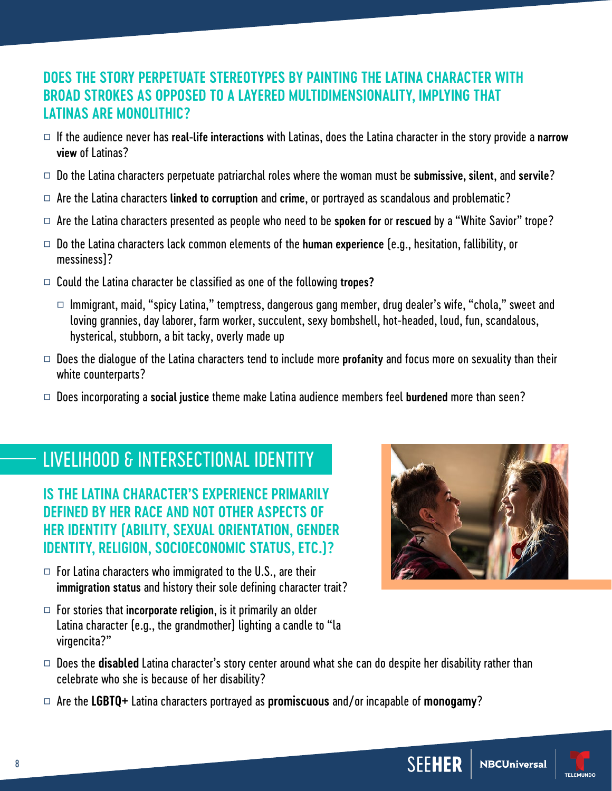#### **DOES THE STORY PERPETUATE STEREOTYPES BY PAINTING THE LATINA CHARACTER WITH BROAD STROKES AS OPPOSED TO A LAYERED MULTIDIMENSIONALITY, IMPLYING THAT LATINAS ARE MONOLITHIC?**

- □ If the audience never has **real-life interactions** with Latinas, does the Latina character in the story provide a **narrow view** of Latinas?
- □ Do the Latina characters perpetuate patriarchal roles where the woman must be **submissive, silent**, and **servile**?
- □ Are the Latina characters **linked to corruption** and **crime**, or portrayed as scandalous and problematic?
- □ Are the Latina characters presented as people who need to be **spoken for** or **rescued** by a "White Savior" trope?
- □ Do the Latina characters lack common elements of the **human experience** (e.g., hesitation, fallibility, or messiness)?
- □ Could the Latina character be classified as one of the following **tropes?**
	- $\Box$  Immigrant, maid, "spicy Latina," temptress, dangerous gang member, drug dealer's wife, "chola," sweet and loving grannies, day laborer, farm worker, succulent, sexy bombshell, hot-headed, loud, fun, scandalous, hysterical, stubborn, a bit tacky, overly made up
- □ Does the dialogue of the Latina characters tend to include more **profanity** and focus more on sexuality than their white counterparts?
- □ Does incorporating a **social justice** theme make Latina audience members feel **burdened** more than seen?

## LIVELIHOOD & INTERSECTIONAL IDENTITY

**IS THE LATINA CHARACTER'S EXPERIENCE PRIMARILY DEFINED BY HER RACE AND NOT OTHER ASPECTS OF HER IDENTITY (ABILITY, SEXUAL ORIENTATION, GENDER IDENTITY, RELIGION, SOCIOECONOMIC STATUS, ETC.)?**

- $\Box$  For Latina characters who immigrated to the U.S., are their **immigration status** and history their sole defining character trait?
- □ For stories that **incorporate religion**, is it primarily an older Latina character (e.g., the grandmother) lighting a candle to "la virgencita?"



- □ Does the **disabled** Latina character's story center around what she can do despite her disability rather than celebrate who she is because of her disability?
- □ Are the **LGBTQ+** Latina characters portrayed as **promiscuous** and/or incapable of **monogamy**?

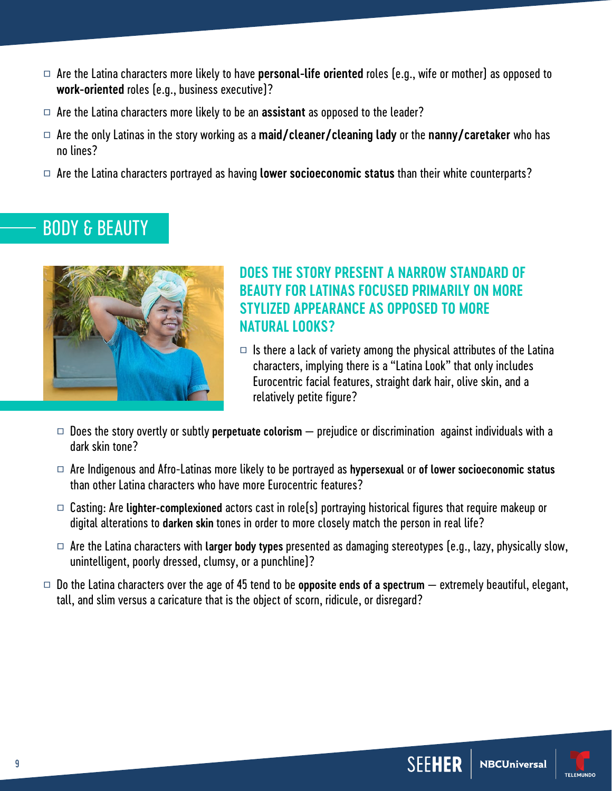- □ Are the Latina characters more likely to have **personal-life oriented** roles (e.g., wife or mother) as opposed to **work-oriented** roles (e.g., business executive)?
- □ Are the Latina characters more likely to be an **assistant** as opposed to the leader?
- □ Are the only Latinas in the story working as a **maid/cleaner/cleaning lady** or the **nanny/caretaker** who has no lines?
- □ Are the Latina characters portrayed as having **lower socioeconomic status** than their white counterparts?

## BODY & BEAUTY



#### **DOES THE STORY PRESENT A NARROW STANDARD OF BEAUTY FOR LATINAS FOCUSED PRIMARILY ON MORE STYLIZED APPEARANCE AS OPPOSED TO MORE NATURAL LOOKS?**

- $\Box$  Is there a lack of variety among the physical attributes of the Latina characters, implying there is a "Latina Look" that only includes Eurocentric facial features, straight dark hair, olive skin, and a relatively petite figure?
- □ Does the story overtly or subtly **perpetuate colorism** prejudice or discrimination against individuals with a dark skin tone?
- □ Are Indigenous and Afro-Latinas more likely to be portrayed as **hypersexual** or **of lower socioeconomic status** than other Latina characters who have more Eurocentric features?
- □ Casting: Are **lighter-complexioned** actors cast in role(s) portraying historical figures that require makeup or digital alterations to **darken skin** tones in order to more closely match the person in real life?
- □ Are the Latina characters with **larger body types** presented as damaging stereotypes (e.g., lazy, physically slow, unintelligent, poorly dressed, clumsy, or a punchline)?
- $\Box$  Do the Latina characters over the age of 45 tend to be **opposite ends of a spectrum**  $-$  extremely beautiful, elegant, tall, and slim versus a caricature that is the object of scorn, ridicule, or disregard?



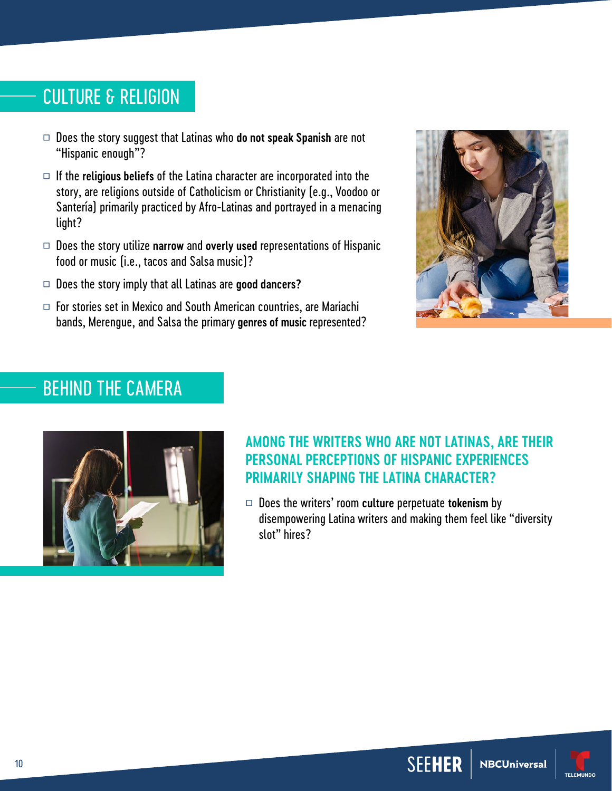## CULTURE & RELIGION

- □ Does the story suggest that Latinas who **do not speak Spanish** are not "Hispanic enough"?
- □ If the **religious beliefs** of the Latina character are incorporated into the story, are religions outside of Catholicism or Christianity (e.g., Voodoo or Santería) primarily practiced by Afro-Latinas and portrayed in a menacing light?
- □ Does the story utilize **narrow** and **overly used** representations of Hispanic food or music (i.e., tacos and Salsa music)?
- □ Does the story imply that all Latinas are **good dancers?**
- $\Box$  For stories set in Mexico and South American countries, are Mariachi bands, Merengue, and Salsa the primary **genres of music** represented?



## BEHIND THE CAMERA



#### **AMONG THE WRITERS WHO ARE NOT LATINAS, ARE THEIR PERSONAL PERCEPTIONS OF HISPANIC EXPERIENCES PRIMARILY SHAPING THE LATINA CHARACTER?**

□ Does the writers' room **culture** perpetuate **tokenism** by disempowering Latina writers and making them feel like "diversity slot" hires?



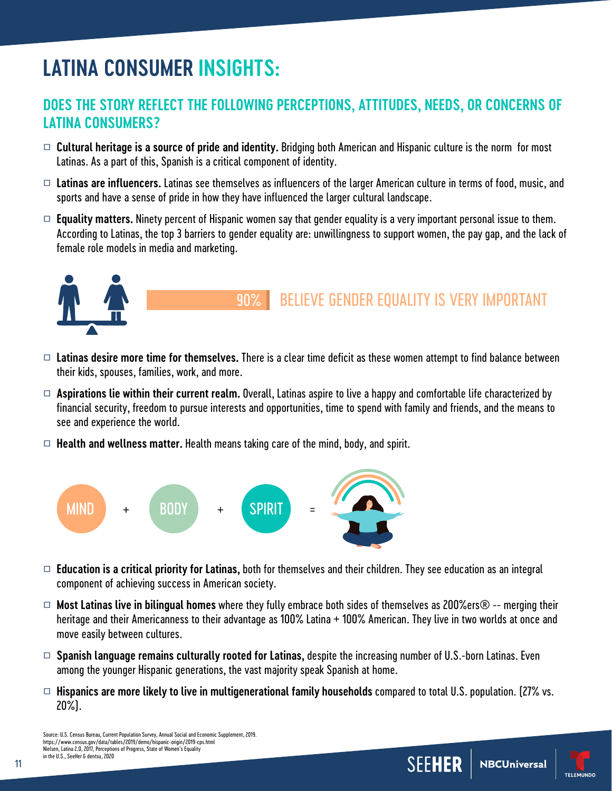# **LATINA CONSUMER INSIGHTS:**

#### **DOES THE STORY REFLECT THE FOLLOWING PERCEPTIONS, ATTITUDES, NEEDS, OR CONCERNS OF LATINA CONSUMERS?**

- □ **Cultural heritage is a source of pride and identity.** Bridging both American and Hispanic culture is the norm for most Latinas. As a part of this, Spanish is a critical component of identity.
- □ **Latinas are influencers.** Latinas see themselves as influencers of the larger American culture in terms of food, music, and sports and have a sense of pride in how they have influenced the larger cultural landscape.
- $\Box$  **Equality matters.** Ninety percent of Hispanic women say that gender equality is a very important personal issue to them. According to Latinas, the top 3 barriers to gender equality are: unwillingness to support women, the pay gap, and the lack of female role models in media and marketing.



#### 90% BELIEVE GENDER EQUALITY IS VERY IMPORTANT

- □ **Latinas desire more time for themselves.** There is a clear time deficit as these women attempt to find balance between their kids, spouses, families, work, and more.
- □ **Aspirations lie within their current realm.** Overall, Latinas aspire to live a happy and comfortable life characterized by financial security, freedom to pursue interests and opportunities, time to spend with family and friends, and the means to see and experience the world.
- □ **Health and wellness matter.** Health means taking care of the mind, body, and spirit.



- □ **Education is a critical priority for Latinas,** both for themselves and their children. They see education as an integral component of achieving success in American society.
- □ **Most Latinas live in bilingual homes** where they fully embrace both sides of themselves as 200%ers® -- merging their heritage and their Americanness to their advantage as 100% Latina + 100% American. They live in two worlds at once and move easily between cultures.
- □ **Spanish language remains culturally rooted for Latinas,** despite the increasing number of U.S.-born Latinas. Even among the younger Hispanic generations, the vast majority speak Spanish at home.
- □ **Hispanics are more likely to live in multigenerational family households** compared to total U.S. population. (27% vs. 20%).

11

**NBCUniversal** 

**SEEH** 



Source: U.S. Census Bureau, Current Population Survey, Annual Social and Economic Supplement, 2019. https://www.census.gov/data/tables/2019/demo/hispanic-origin/2019-cps.html Nielsen, Latina 2.0, 2017, Perceptions of Progress, State of Women's Equality in the U.S., SeeHer & dentsu, 2020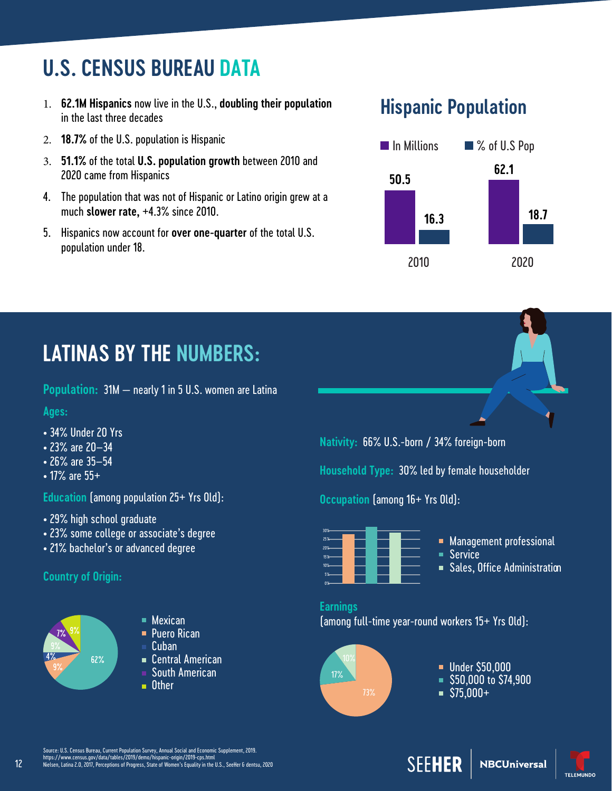# **U.S. CENSUS BUREAU DATA**

- 1. **62.1M Hispanics** now live in the U.S., **doubling their population** in the last three decades
- 2. **18.7%** of the U.S. population is Hispanic
- 3. **51.1%** of the total **U.S. population growth** between 2010 and 2020 came from Hispanics
- 4. The population that was not of Hispanic or Latino origin grew at a much **slower rate,** +4.3% since 2010.
- 5. Hispanics now account for **over one-quarter** of the total U.S. population under 18.

## **Hispanic Population**



## **LATINAS BY THE NUMBERS:**

**Population:** 31M — nearly 1 in 5 U.S. women are Latina

#### **Ages:**

- 34% Under 20 Yrs
- 23% are 20–34
- 26% are 35–54
- 17% are 55+

**Education** (among population 25+ Yrs Old):

- 29% high school graduate
- 23% some college or associate's degree
- 21% bachelor's or advanced degree

#### **Country of Origin:**



12

- 
- **Puero Rican**
- Cuban
- Central American
- South American
- **n** Other

**Nativity:** 66% U.S.-born / 34% foreign-born

**Household Type:** 30% led by female householder

**Occupation** (among 16+ Yrs Old):



- **Management professional**
- Service
- **Sales, Office Administration**

#### **Earnings**

■ Mexican (among full-time year-round workers 15+ Yrs Old):



- **Under \$50,000**
- $\overline{\phantom{0}}$  \$50,000 to \$74,900
- $\overline{\phantom{0}}$ \$75,000+